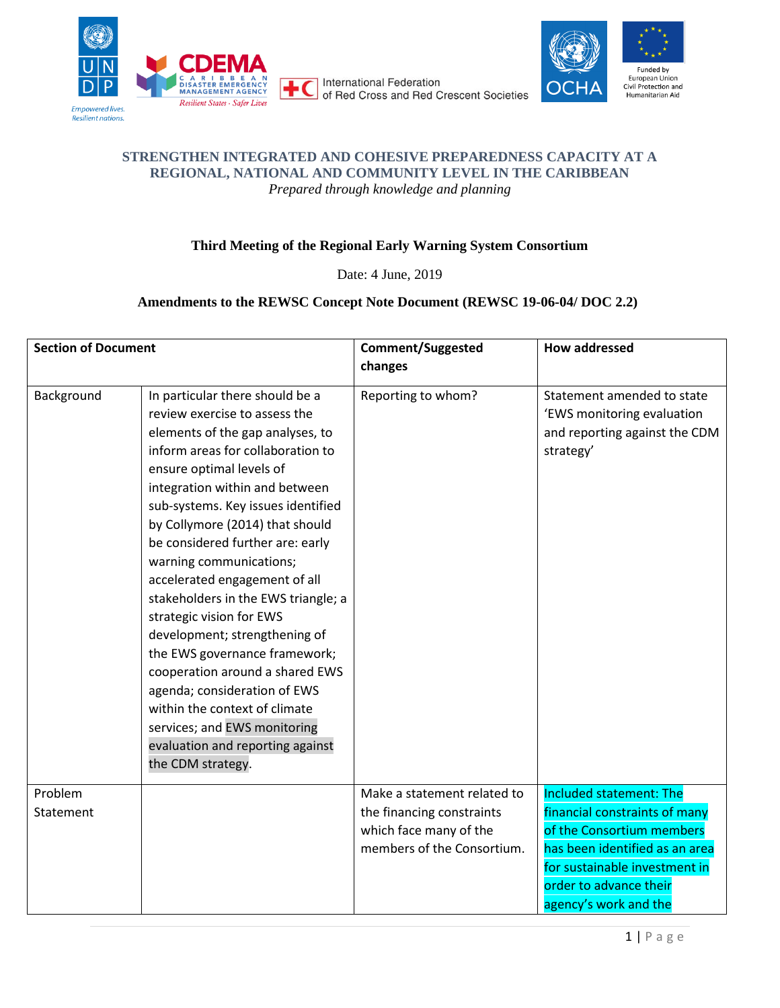





## **STRENGTHEN INTEGRATED AND COHESIVE PREPAREDNESS CAPACITY AT A REGIONAL, NATIONAL AND COMMUNITY LEVEL IN THE CARIBBEAN** *Prepared through knowledge and planning*

## **Third Meeting of the Regional Early Warning System Consortium**

Date: 4 June, 2019

## **Amendments to the REWSC Concept Note Document (REWSC 19-06-04/ DOC 2.2)**

| <b>Section of Document</b> |                                                                                                                                                                                                                                                                                                                                                                                                                                                                                                                                                                                                                                                                                                                    | <b>Comment/Suggested</b>    | <b>How addressed</b>                                                                                   |
|----------------------------|--------------------------------------------------------------------------------------------------------------------------------------------------------------------------------------------------------------------------------------------------------------------------------------------------------------------------------------------------------------------------------------------------------------------------------------------------------------------------------------------------------------------------------------------------------------------------------------------------------------------------------------------------------------------------------------------------------------------|-----------------------------|--------------------------------------------------------------------------------------------------------|
|                            |                                                                                                                                                                                                                                                                                                                                                                                                                                                                                                                                                                                                                                                                                                                    | changes                     |                                                                                                        |
| Background                 | In particular there should be a<br>review exercise to assess the<br>elements of the gap analyses, to<br>inform areas for collaboration to<br>ensure optimal levels of<br>integration within and between<br>sub-systems. Key issues identified<br>by Collymore (2014) that should<br>be considered further are: early<br>warning communications;<br>accelerated engagement of all<br>stakeholders in the EWS triangle; a<br>strategic vision for EWS<br>development; strengthening of<br>the EWS governance framework;<br>cooperation around a shared EWS<br>agenda; consideration of EWS<br>within the context of climate<br>services; and EWS monitoring<br>evaluation and reporting against<br>the CDM strategy. | Reporting to whom?          | Statement amended to state<br>'EWS monitoring evaluation<br>and reporting against the CDM<br>strategy' |
| Problem                    |                                                                                                                                                                                                                                                                                                                                                                                                                                                                                                                                                                                                                                                                                                                    | Make a statement related to | Included statement: The                                                                                |
| Statement                  |                                                                                                                                                                                                                                                                                                                                                                                                                                                                                                                                                                                                                                                                                                                    | the financing constraints   | financial constraints of many                                                                          |
|                            |                                                                                                                                                                                                                                                                                                                                                                                                                                                                                                                                                                                                                                                                                                                    | which face many of the      | of the Consortium members                                                                              |
|                            |                                                                                                                                                                                                                                                                                                                                                                                                                                                                                                                                                                                                                                                                                                                    | members of the Consortium.  | has been identified as an area                                                                         |
|                            |                                                                                                                                                                                                                                                                                                                                                                                                                                                                                                                                                                                                                                                                                                                    |                             | for sustainable investment in                                                                          |
|                            |                                                                                                                                                                                                                                                                                                                                                                                                                                                                                                                                                                                                                                                                                                                    |                             | order to advance their                                                                                 |
|                            |                                                                                                                                                                                                                                                                                                                                                                                                                                                                                                                                                                                                                                                                                                                    |                             | agency's work and the                                                                                  |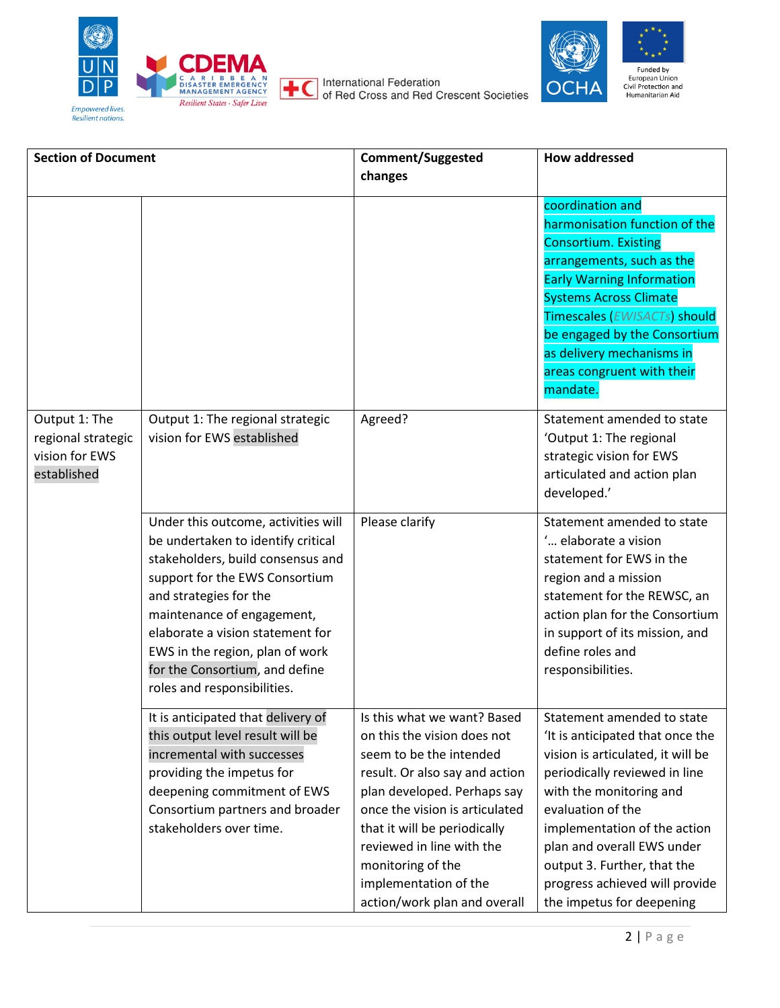

International Federation<br>of Red Cross and Red Crescent Societies





| <b>Section of Document</b>                                           |                                                                                                                                                                                                                                                                                                                                                  | <b>Comment/Suggested</b>                                                                                                                                                                                                                                                                                                            | <b>How addressed</b>                                                                                                                                                                                                                                                                                                                             |
|----------------------------------------------------------------------|--------------------------------------------------------------------------------------------------------------------------------------------------------------------------------------------------------------------------------------------------------------------------------------------------------------------------------------------------|-------------------------------------------------------------------------------------------------------------------------------------------------------------------------------------------------------------------------------------------------------------------------------------------------------------------------------------|--------------------------------------------------------------------------------------------------------------------------------------------------------------------------------------------------------------------------------------------------------------------------------------------------------------------------------------------------|
|                                                                      |                                                                                                                                                                                                                                                                                                                                                  | changes                                                                                                                                                                                                                                                                                                                             |                                                                                                                                                                                                                                                                                                                                                  |
|                                                                      |                                                                                                                                                                                                                                                                                                                                                  |                                                                                                                                                                                                                                                                                                                                     | coordination and<br>harmonisation function of the<br><b>Consortium. Existing</b><br>arrangements, such as the<br><b>Early Warning Information</b><br><b>Systems Across Climate</b><br>Timescales (EWISACTs) should<br>be engaged by the Consortium<br>as delivery mechanisms in<br>areas congruent with their<br>mandate.                        |
| Output 1: The<br>regional strategic<br>vision for EWS<br>established | Output 1: The regional strategic<br>vision for EWS established                                                                                                                                                                                                                                                                                   | Agreed?                                                                                                                                                                                                                                                                                                                             | Statement amended to state<br>'Output 1: The regional<br>strategic vision for EWS<br>articulated and action plan<br>developed.'                                                                                                                                                                                                                  |
|                                                                      | Under this outcome, activities will<br>be undertaken to identify critical<br>stakeholders, build consensus and<br>support for the EWS Consortium<br>and strategies for the<br>maintenance of engagement,<br>elaborate a vision statement for<br>EWS in the region, plan of work<br>for the Consortium, and define<br>roles and responsibilities. | Please clarify                                                                                                                                                                                                                                                                                                                      | Statement amended to state<br>' elaborate a vision<br>statement for EWS in the<br>region and a mission<br>statement for the REWSC, an<br>action plan for the Consortium<br>in support of its mission, and<br>define roles and<br>responsibilities.                                                                                               |
|                                                                      | It is anticipated that delivery of<br>this output level result will be<br>incremental with successes<br>providing the impetus for<br>deepening commitment of EWS<br>Consortium partners and broader<br>stakeholders over time.                                                                                                                   | Is this what we want? Based<br>on this the vision does not<br>seem to be the intended<br>result. Or also say and action<br>plan developed. Perhaps say<br>once the vision is articulated<br>that it will be periodically<br>reviewed in line with the<br>monitoring of the<br>implementation of the<br>action/work plan and overall | Statement amended to state<br>'It is anticipated that once the<br>vision is articulated, it will be<br>periodically reviewed in line<br>with the monitoring and<br>evaluation of the<br>implementation of the action<br>plan and overall EWS under<br>output 3. Further, that the<br>progress achieved will provide<br>the impetus for deepening |